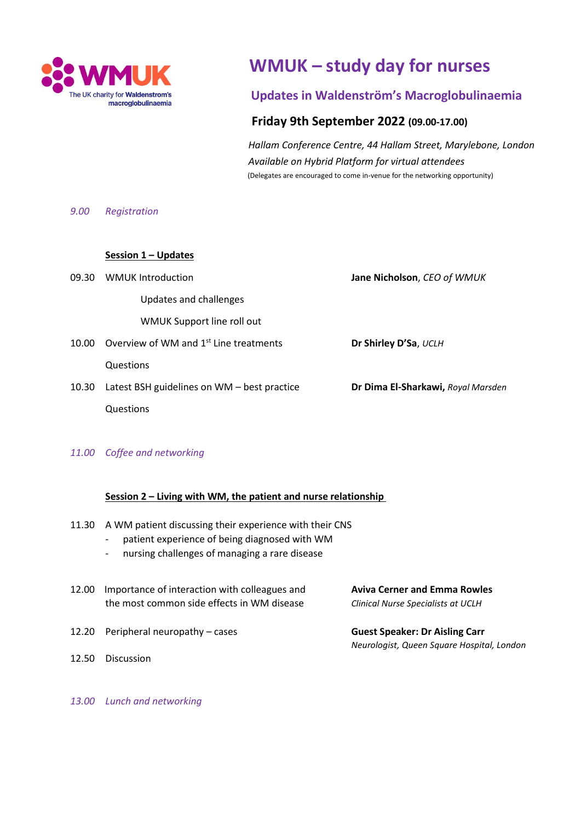

# **WMUK – study day for nurses**

## **Updates in Waldenstrӧm's Macroglobulinaemia**

### **Friday 9th September 2022 (09.00-17.00)**

 *Hallam Conference Centre, 44 Hallam Street, Marylebone, London Available on Hybrid Platform for virtual attendees* (Delegates are encouraged to come in-venue for the networking opportunity)

#### *9.00 Registration*

#### **Session 1 – Updates**

| 09.30 | <b>WMUK Introduction</b>                           | Jane Nicholson, CEO of WMUK        |
|-------|----------------------------------------------------|------------------------------------|
|       | Updates and challenges                             |                                    |
|       | WMUK Support line roll out                         |                                    |
| 10.00 | Overview of WM and 1 <sup>st</sup> Line treatments | Dr Shirley D'Sa, UCLH              |
|       | Questions                                          |                                    |
| 10.30 | Latest BSH guidelines on WM – best practice        | Dr Dima El-Sharkawi, Royal Marsden |
|       | Questions                                          |                                    |

#### *11.00 Coffee and networking*

#### **Session 2 – Living with WM, the patient and nurse relationship**

- 11.30 A WM patient discussing their experience with their CNS
	- patient experience of being diagnosed with WM
	- nursing challenges of managing a rare disease
- 12.00 Importance of interaction with colleagues and **Aviva Cerner and Emma Rowles** the most common side effects in WM disease *Clinical Nurse Specialists at UCLH*
- 12.20 Peripheral neuropathy cases **Guest Speaker: Dr Aisling Carr**
- 12.50 Discussion

*Neurologist, Queen Square Hospital, London*

*13.00 Lunch and networking*